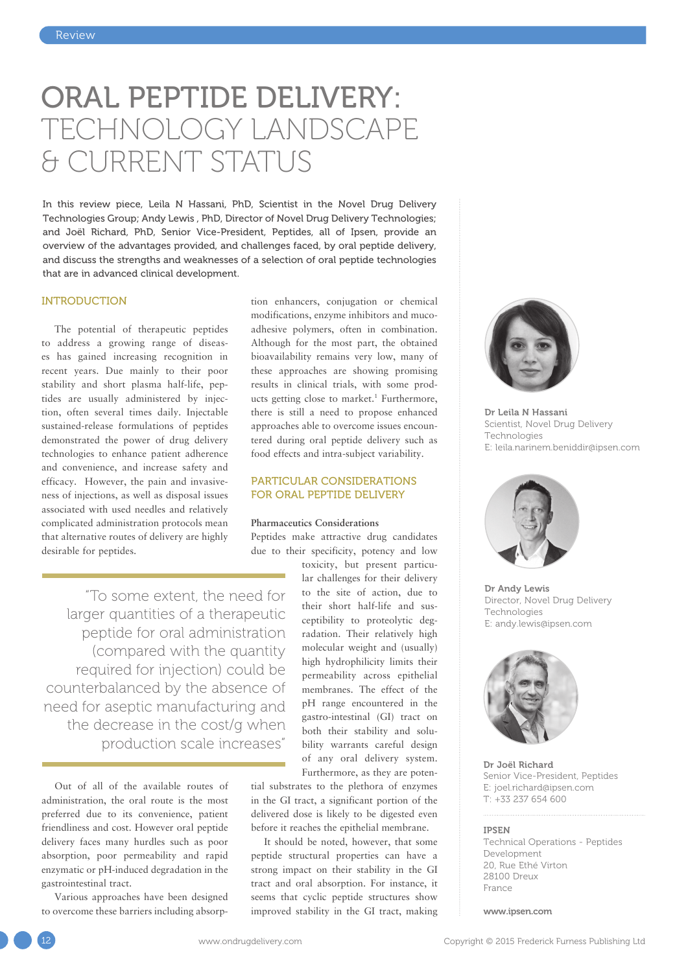# ORAL PEPTIDE DELIVERY: TECHNOLOGY LANDSCAPE & CURRENT STATUS

In this review piece, Leila N Hassani, PhD, Scientist in the Novel Drug Delivery Technologies Group; Andy Lewis , PhD, Director of Novel Drug Delivery Technologies; and Joël Richard, PhD, Senior Vice-President, Peptides, all of Ipsen, provide an overview of the advantages provided, and challenges faced, by oral peptide delivery, and discuss the strengths and weaknesses of a selection of oral peptide technologies that are in advanced clinical development.

## INTRODUCTION

The potential of therapeutic peptides to address a growing range of diseases has gained increasing recognition in recent years. Due mainly to their poor stability and short plasma half-life, peptides are usually administered by injection, often several times daily. Injectable sustained-release formulations of peptides demonstrated the power of drug delivery technologies to enhance patient adherence and convenience, and increase safety and efficacy. However, the pain and invasiveness of injections, as well as disposal issues associated with used needles and relatively complicated administration protocols mean that alternative routes of delivery are highly desirable for peptides.

tion enhancers, conjugation or chemical modifications, enzyme inhibitors and mucoadhesive polymers, often in combination. Although for the most part, the obtained bioavailability remains very low, many of these approaches are showing promising results in clinical trials, with some products getting close to market.<sup>1</sup> Furthermore, there is still a need to propose enhanced approaches able to overcome issues encountered during oral peptide delivery such as food effects and intra-subject variability.

## PARTICULAR CONSIDERATIONS FOR ORAL PEPTIDE DELIVERY

# **Pharmaceutics Considerations**

Peptides make attractive drug candidates due to their specificity, potency and low

"To some extent, the need for larger quantities of a therapeutic peptide for oral administration (compared with the quantity required for injection) could be counterbalanced by the absence of need for aseptic manufacturing and the decrease in the cost/g when production scale increases"

Out of all of the available routes of administration, the oral route is the most preferred due to its convenience, patient friendliness and cost. However oral peptide delivery faces many hurdles such as poor absorption, poor permeability and rapid enzymatic or pH-induced degradation in the gastrointestinal tract.

Various approaches have been designed to overcome these barriers including absorp-

toxicity, but present particular challenges for their delivery to the site of action, due to their short half-life and susceptibility to proteolytic degradation. Their relatively high molecular weight and (usually) high hydrophilicity limits their permeability across epithelial membranes. The effect of the pH range encountered in the gastro-intestinal (GI) tract on both their stability and solubility warrants careful design of any oral delivery system. Furthermore, as they are poten-

tial substrates to the plethora of enzymes in the GI tract, a significant portion of the delivered dose is likely to be digested even before it reaches the epithelial membrane.

It should be noted, however, that some peptide structural properties can have a strong impact on their stability in the GI tract and oral absorption. For instance, it seems that cyclic peptide structures show improved stability in the GI tract, making



Dr Leila N Hassani Scientist, Novel Drug Delivery Technologies E: leila.narinem.beniddir@ipsen.com



Dr Andy Lewis Director, Novel Drug Delivery Technologies E: andy.lewis@ipsen.com



Dr Joël Richard Senior Vice-President, Peptides E: joel.richard@ipsen.com T: +33 237 654 600

#### IPSEN

Technical Operations - Peptides Development 20, Rue Ethé Virton 28100 Dreux France

www.ipsen.com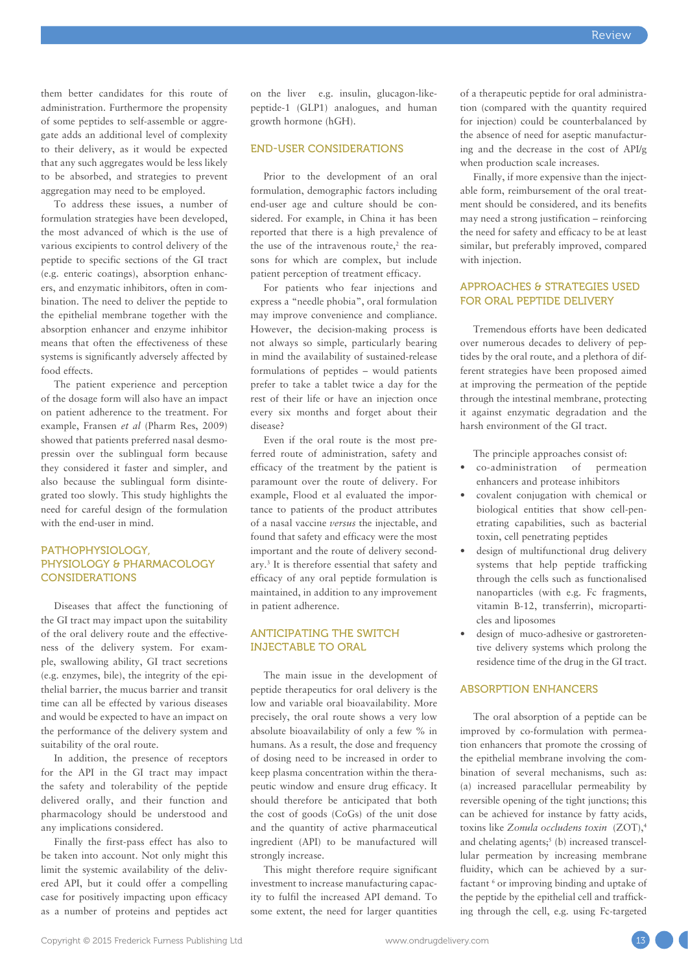them better candidates for this route of administration. Furthermore the propensity of some peptides to self-assemble or aggregate adds an additional level of complexity to their delivery, as it would be expected that any such aggregates would be less likely to be absorbed, and strategies to prevent aggregation may need to be employed.

To address these issues, a number of formulation strategies have been developed, the most advanced of which is the use of various excipients to control delivery of the peptide to specific sections of the GI tract (e.g. enteric coatings), absorption enhancers, and enzymatic inhibitors, often in combination. The need to deliver the peptide to the epithelial membrane together with the absorption enhancer and enzyme inhibitor means that often the effectiveness of these systems is significantly adversely affected by food effects.

The patient experience and perception of the dosage form will also have an impact on patient adherence to the treatment. For example, Fransen *et al* (Pharm Res, 2009) showed that patients preferred nasal desmopressin over the sublingual form because they considered it faster and simpler, and also because the sublingual form disintegrated too slowly. This study highlights the need for careful design of the formulation with the end-user in mind.

# PATHOPHYSIOLOGY, PHYSIOLOGY & PHARMACOLOGY **CONSIDERATIONS**

Diseases that affect the functioning of the GI tract may impact upon the suitability of the oral delivery route and the effectiveness of the delivery system. For example, swallowing ability, GI tract secretions (e.g. enzymes, bile), the integrity of the epithelial barrier, the mucus barrier and transit time can all be effected by various diseases and would be expected to have an impact on the performance of the delivery system and suitability of the oral route.

In addition, the presence of receptors for the API in the GI tract may impact the safety and tolerability of the peptide delivered orally, and their function and pharmacology should be understood and any implications considered.

Finally the first-pass effect has also to be taken into account. Not only might this limit the systemic availability of the delivered API, but it could offer a compelling case for positively impacting upon efficacy as a number of proteins and peptides act on the liver e.g. insulin, glucagon-likepeptide-1 (GLP1) analogues, and human growth hormone (hGH).

# END-USER CONSIDERATIONS

Prior to the development of an oral formulation, demographic factors including end-user age and culture should be considered. For example, in China it has been reported that there is a high prevalence of the use of the intravenous route, $2$  the reasons for which are complex, but include patient perception of treatment efficacy.

For patients who fear injections and express a "needle phobia", oral formulation may improve convenience and compliance. However, the decision-making process is not always so simple, particularly bearing in mind the availability of sustained-release formulations of peptides – would patients prefer to take a tablet twice a day for the rest of their life or have an injection once every six months and forget about their disease?

Even if the oral route is the most preferred route of administration, safety and efficacy of the treatment by the patient is paramount over the route of delivery. For example, Flood et al evaluated the importance to patients of the product attributes of a nasal vaccine *versus* the injectable, and found that safety and efficacy were the most important and the route of delivery secondary.3 It is therefore essential that safety and efficacy of any oral peptide formulation is maintained, in addition to any improvement in patient adherence.

## ANTICIPATING THE SWITCH INJECTABLE TO ORAL

The main issue in the development of peptide therapeutics for oral delivery is the low and variable oral bioavailability. More precisely, the oral route shows a very low absolute bioavailability of only a few % in humans. As a result, the dose and frequency of dosing need to be increased in order to keep plasma concentration within the therapeutic window and ensure drug efficacy. It should therefore be anticipated that both the cost of goods (CoGs) of the unit dose and the quantity of active pharmaceutical ingredient (API) to be manufactured will strongly increase.

This might therefore require significant investment to increase manufacturing capacity to fulfil the increased API demand. To some extent, the need for larger quantities of a therapeutic peptide for oral administration (compared with the quantity required for injection) could be counterbalanced by the absence of need for aseptic manufacturing and the decrease in the cost of API/g when production scale increases.

Finally, if more expensive than the injectable form, reimbursement of the oral treatment should be considered, and its benefits may need a strong justification – reinforcing the need for safety and efficacy to be at least similar, but preferably improved, compared with injection.

# APPROACHES & STRATEGIES USED FOR ORAL PEPTIDE DELIVERY

Tremendous efforts have been dedicated over numerous decades to delivery of peptides by the oral route, and a plethora of different strategies have been proposed aimed at improving the permeation of the peptide through the intestinal membrane, protecting it against enzymatic degradation and the harsh environment of the GI tract.

The principle approaches consist of:

- co-administration of permeation enhancers and protease inhibitors
- covalent conjugation with chemical or biological entities that show cell-penetrating capabilities, such as bacterial toxin, cell penetrating peptides
- design of multifunctional drug delivery systems that help peptide trafficking through the cells such as functionalised nanoparticles (with e.g. Fc fragments, vitamin B-12, transferrin), microparticles and liposomes
- design of muco-adhesive or gastroretentive delivery systems which prolong the residence time of the drug in the GI tract.

# ABSORPTION ENHANCERS

The oral absorption of a peptide can be improved by co-formulation with permeation enhancers that promote the crossing of the epithelial membrane involving the combination of several mechanisms, such as: (a) increased paracellular permeability by reversible opening of the tight junctions; this can be achieved for instance by fatty acids, toxins like *Zonula occludens toxin* (ZOT),4 and chelating agents; $5$  (b) increased transcellular permeation by increasing membrane fluidity, which can be achieved by a surfactant <sup>6</sup> or improving binding and uptake of the peptide by the epithelial cell and trafficking through the cell, e.g. using Fc-targeted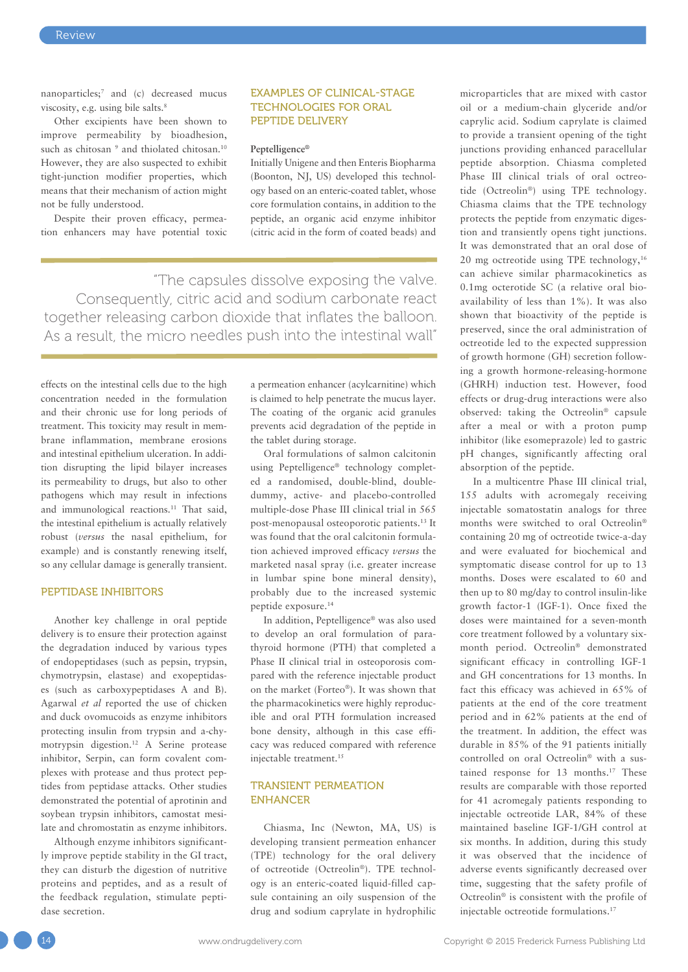nanoparticles;7 and (c) decreased mucus viscosity, e.g. using bile salts.8

Other excipients have been shown to improve permeability by bioadhesion, such as chitosan <sup>9</sup> and thiolated chitosan.<sup>10</sup> However, they are also suspected to exhibit tight-junction modifier properties, which means that their mechanism of action might not be fully understood.

Despite their proven efficacy, permeation enhancers may have potential toxic

## EXAMPLES OF CLINICAL-STAGE TECHNOLOGIES FOR ORAL PEPTIDE DELIVERY

### **Peptelligence®**

Initially Unigene and then Enteris Biopharma (Boonton, NJ, US) developed this technology based on an enteric-coated tablet, whose core formulation contains, in addition to the peptide, an organic acid enzyme inhibitor (citric acid in the form of coated beads) and

"The capsules dissolve exposing the valve. Consequently, citric acid and sodium carbonate react together releasing carbon dioxide that inflates the balloon. As a result, the micro needles push into the intestinal wall"

effects on the intestinal cells due to the high concentration needed in the formulation and their chronic use for long periods of treatment. This toxicity may result in membrane inflammation, membrane erosions and intestinal epithelium ulceration. In addition disrupting the lipid bilayer increases its permeability to drugs, but also to other pathogens which may result in infections and immunological reactions.11 That said, the intestinal epithelium is actually relatively robust (*versus* the nasal epithelium, for example) and is constantly renewing itself, so any cellular damage is generally transient.

# PEPTIDASE INHIBITORS

Another key challenge in oral peptide delivery is to ensure their protection against the degradation induced by various types of endopeptidases (such as pepsin, trypsin, chymotrypsin, elastase) and exopeptidases (such as carboxypeptidases A and B). Agarwal *et al* reported the use of chicken and duck ovomucoids as enzyme inhibitors protecting insulin from trypsin and a-chymotrypsin digestion.12 A Serine protease inhibitor, Serpin, can form covalent complexes with protease and thus protect peptides from peptidase attacks. Other studies demonstrated the potential of aprotinin and soybean trypsin inhibitors, camostat mesilate and chromostatin as enzyme inhibitors.

Although enzyme inhibitors significantly improve peptide stability in the GI tract, they can disturb the digestion of nutritive proteins and peptides, and as a result of the feedback regulation, stimulate peptidase secretion.

a permeation enhancer (acylcarnitine) which is claimed to help penetrate the mucus layer. The coating of the organic acid granules prevents acid degradation of the peptide in the tablet during storage.

Oral formulations of salmon calcitonin using Peptelligence® technology completed a randomised, double-blind, doubledummy, active- and placebo-controlled multiple-dose Phase III clinical trial in 565 post-menopausal osteoporotic patients.13 It was found that the oral calcitonin formulation achieved improved efficacy *versus* the marketed nasal spray (i.e. greater increase in lumbar spine bone mineral density), probably due to the increased systemic peptide exposure.14

In addition, Peptelligence® was also used to develop an oral formulation of parathyroid hormone (PTH) that completed a Phase II clinical trial in osteoporosis compared with the reference injectable product on the market (Forteo®). It was shown that the pharmacokinetics were highly reproducible and oral PTH formulation increased bone density, although in this case efficacy was reduced compared with reference injectable treatment.15

## TRANSIENT PERMEATION ENHANCER

Chiasma, Inc (Newton, MA, US) is developing transient permeation enhancer (TPE) technology for the oral delivery of octreotide (Octreolin®). TPE technology is an enteric-coated liquid-filled capsule containing an oily suspension of the drug and sodium caprylate in hydrophilic microparticles that are mixed with castor oil or a medium-chain glyceride and/or caprylic acid. Sodium caprylate is claimed to provide a transient opening of the tight junctions providing enhanced paracellular peptide absorption. Chiasma completed Phase III clinical trials of oral octreotide (Octreolin®) using TPE technology. Chiasma claims that the TPE technology protects the peptide from enzymatic digestion and transiently opens tight junctions. It was demonstrated that an oral dose of 20 mg octreotide using TPE technology,16 can achieve similar pharmacokinetics as 0.1mg octerotide SC (a relative oral bioavailability of less than 1%). It was also shown that bioactivity of the peptide is preserved, since the oral administration of octreotide led to the expected suppression of growth hormone (GH) secretion following a growth hormone-releasing-hormone (GHRH) induction test. However, food effects or drug-drug interactions were also observed: taking the Octreolin® capsule after a meal or with a proton pump inhibitor (like esomeprazole) led to gastric pH changes, significantly affecting oral absorption of the peptide.

In a multicentre Phase III clinical trial, 155 adults with acromegaly receiving injectable somatostatin analogs for three months were switched to oral Octreolin® containing 20 mg of octreotide twice-a-day and were evaluated for biochemical and symptomatic disease control for up to 13 months. Doses were escalated to 60 and then up to 80 mg/day to control insulin-like growth factor-1 (IGF-1). Once fixed the doses were maintained for a seven-month core treatment followed by a voluntary sixmonth period. Octreolin® demonstrated significant efficacy in controlling IGF-1 and GH concentrations for 13 months. In fact this efficacy was achieved in 65% of patients at the end of the core treatment period and in 62% patients at the end of the treatment. In addition, the effect was durable in 85% of the 91 patients initially controlled on oral Octreolin® with a sustained response for 13 months.<sup>17</sup> These results are comparable with those reported for 41 acromegaly patients responding to injectable octreotide LAR, 84% of these maintained baseline IGF-1/GH control at six months. In addition, during this study it was observed that the incidence of adverse events significantly decreased over time, suggesting that the safety profile of Octreolin® is consistent with the profile of injectable octreotide formulations.17

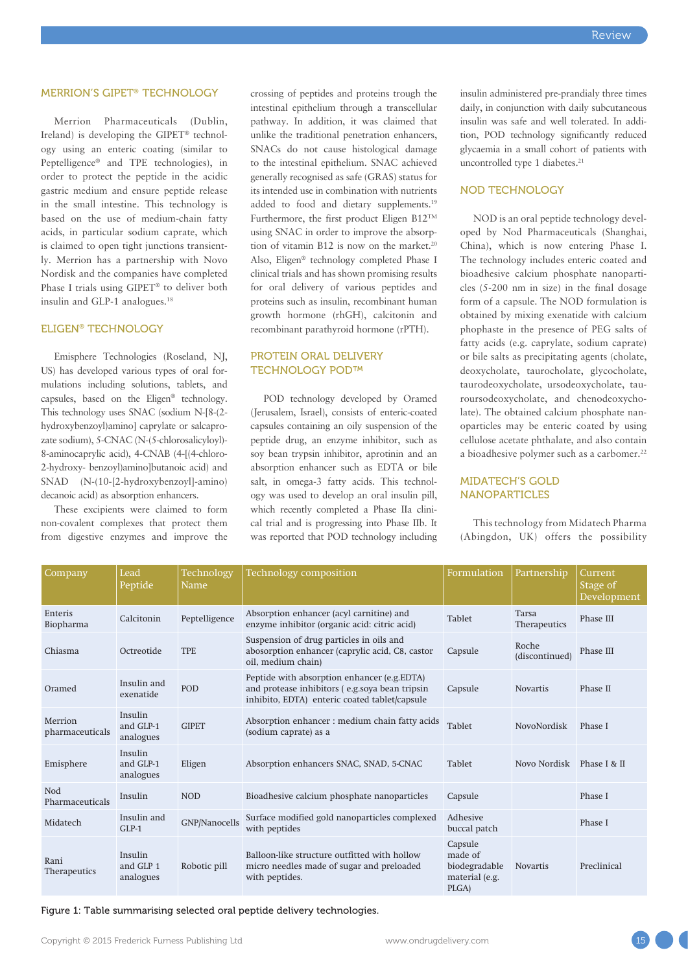## MERRION'S GIPET® TECHNOLOGY

Merrion Pharmaceuticals (Dublin, Ireland) is developing the GIPET® technology using an enteric coating (similar to Peptelligence® and TPE technologies), in order to protect the peptide in the acidic gastric medium and ensure peptide release in the small intestine. This technology is based on the use of medium-chain fatty acids, in particular sodium caprate, which is claimed to open tight junctions transiently. Merrion has a partnership with Novo Nordisk and the companies have completed Phase I trials using GIPET® to deliver both insulin and GLP-1 analogues.<sup>18</sup>

## ELIGEN® TECHNOLOGY

Emisphere Technologies (Roseland, NJ, US) has developed various types of oral formulations including solutions, tablets, and capsules, based on the Eligen® technology. This technology uses SNAC (sodium N-[8-(2 hydroxybenzoyl)amino] caprylate or salcaprozate sodium), 5-CNAC (N-(5-chlorosalicyloyl)- 8-aminocaprylic acid), 4-CNAB (4-[(4-chloro-2-hydroxy- benzoyl)amino]butanoic acid) and SNAD (N-(10-[2-hydroxybenzoyl]-amino) decanoic acid) as absorption enhancers.

These excipients were claimed to form non-covalent complexes that protect them from digestive enzymes and improve the crossing of peptides and proteins trough the intestinal epithelium through a transcellular pathway. In addition, it was claimed that unlike the traditional penetration enhancers, SNACs do not cause histological damage to the intestinal epithelium. SNAC achieved generally recognised as safe (GRAS) status for its intended use in combination with nutrients added to food and dietary supplements.19 Furthermore, the first product Eligen B12TM using SNAC in order to improve the absorption of vitamin B12 is now on the market.20 Also, Eligen® technology completed Phase I clinical trials and has shown promising results for oral delivery of various peptides and proteins such as insulin, recombinant human growth hormone (rhGH), calcitonin and recombinant parathyroid hormone (rPTH).

## PROTEIN ORAL DELIVERY TECHNOLOGY POD™

POD technology developed by Oramed (Jerusalem, Israel), consists of enteric-coated capsules containing an oily suspension of the peptide drug, an enzyme inhibitor, such as soy bean trypsin inhibitor, aprotinin and an absorption enhancer such as EDTA or bile salt, in omega-3 fatty acids. This technology was used to develop an oral insulin pill, which recently completed a Phase IIa clinical trial and is progressing into Phase IIb. It was reported that POD technology including insulin administered pre-prandialy three times daily, in conjunction with daily subcutaneous insulin was safe and well tolerated. In addition, POD technology significantly reduced glycaemia in a small cohort of patients with uncontrolled type 1 diabetes.<sup>21</sup>

#### NOD TECHNOLOGY

NOD is an oral peptide technology developed by Nod Pharmaceuticals (Shanghai, China), which is now entering Phase I. The technology includes enteric coated and bioadhesive calcium phosphate nanoparticles (5-200 nm in size) in the final dosage form of a capsule. The NOD formulation is obtained by mixing exenatide with calcium phophaste in the presence of PEG salts of fatty acids (e.g. caprylate, sodium caprate) or bile salts as precipitating agents (cholate, deoxycholate, taurocholate, glycocholate, taurodeoxycholate, ursodeoxycholate, tauroursodeoxycholate, and chenodeoxycholate). The obtained calcium phosphate nanoparticles may be enteric coated by using cellulose acetate phthalate, and also contain a bioadhesive polymer such as a carbomer.<sup>22</sup>

# MIDATECH'S GOLD NANOPARTICLES

This technology from Midatech Pharma (Abingdon, UK) offers the possibility

| Company                     | Lead<br>Peptide                   | Technology<br>Name | <b>Technology composition</b>                                                                                                                  | Formulation                                                    | Partnership               | Current<br>Stage of<br>Development |
|-----------------------------|-----------------------------------|--------------------|------------------------------------------------------------------------------------------------------------------------------------------------|----------------------------------------------------------------|---------------------------|------------------------------------|
| Enteris<br>Biopharma        | Calcitonin                        | Peptelligence      | Absorption enhancer (acyl carnitine) and<br>enzyme inhibitor (organic acid: citric acid)                                                       | Tablet                                                         | Tarsa<br>Therapeutics     | Phase III                          |
| Chiasma                     | Octreotide                        | <b>TPE</b>         | Suspension of drug particles in oils and<br>abosorption enhancer (caprylic acid, C8, castor<br>oil, medium chain)                              | Capsule                                                        | Roche<br>(discontinued)   | Phase III                          |
| Oramed                      | Insulin and<br>exenatide          | POD                | Peptide with absorption enhancer (e.g.EDTA)<br>and protease inhibitors (e.g.soya bean tripsin<br>inhibito, EDTA) enteric coated tablet/capsule | Capsule                                                        | <b>Novartis</b>           | Phase II                           |
| Merrion<br>pharmaceuticals  | Insulin<br>and GLP-1<br>analogues | <b>GIPET</b>       | Absorption enhancer : medium chain fatty acids<br>(sodium caprate) as a                                                                        | Tablet                                                         | NovoNordisk               | Phase I                            |
| Emisphere                   | Insulin<br>and GLP-1<br>analogues | Eligen             | Absorption enhancers SNAC, SNAD, 5-CNAC                                                                                                        | Tablet                                                         | Novo Nordisk Phase I & II |                                    |
| Nod<br>Pharmaceuticals      | Insulin                           | <b>NOD</b>         | Bioadhesive calcium phosphate nanoparticles                                                                                                    | Capsule                                                        |                           | Phase I                            |
| Midatech                    | Insulin and<br>$GLP-1$            | GNP/Nanocells      | Surface modified gold nanoparticles complexed<br>with peptides                                                                                 | Adhesive<br>buccal patch                                       |                           | Phase I                            |
| Rani<br><b>Therapeutics</b> | Insulin<br>and GLP 1<br>analogues | Robotic pill       | Balloon-like structure outfitted with hollow<br>micro needles made of sugar and preloaded<br>with peptides.                                    | Capsule<br>made of<br>biodegradable<br>material (e.g.<br>PLGA) | <b>Novartis</b>           | Preclinical                        |

Figure 1: Table summarising selected oral peptide delivery technologies.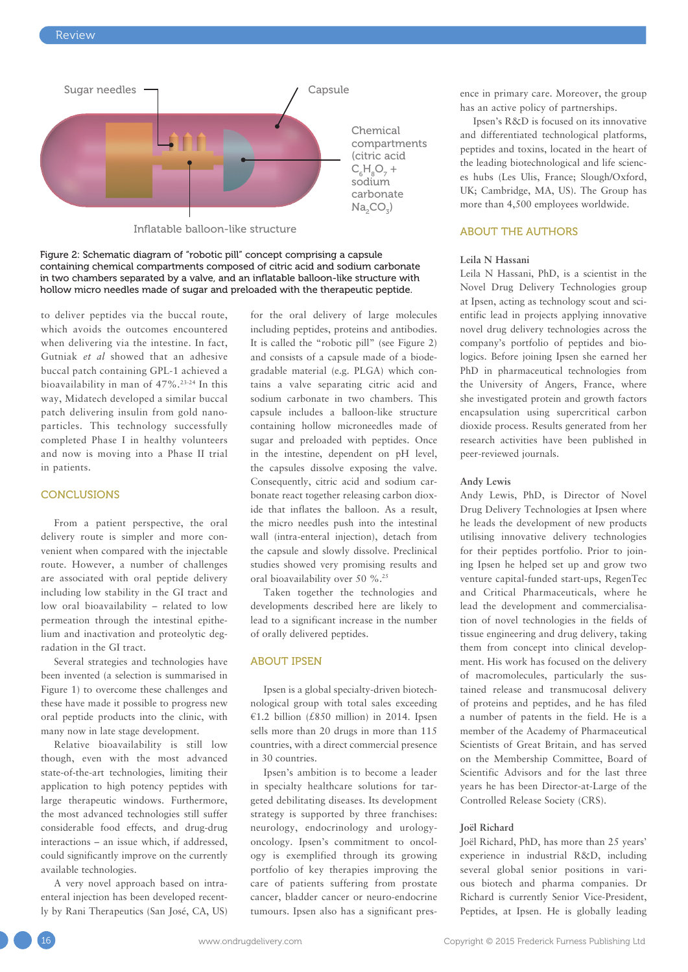

Inflatable balloon-like structure

Figure 2: Schematic diagram of "robotic pill" concept comprising a capsule containing chemical compartments composed of citric acid and sodium carbonate in two chambers separated by a valve, and an inflatable balloon-like structure with hollow micro needles made of sugar and preloaded with the therapeutic peptide.

to deliver peptides via the buccal route, which avoids the outcomes encountered when delivering via the intestine. In fact, Gutniak *et al* showed that an adhesive buccal patch containing GPL-1 achieved a bioavailability in man of 47%.23-24 In this way, Midatech developed a similar buccal patch delivering insulin from gold nanoparticles. This technology successfully completed Phase I in healthy volunteers and now is moving into a Phase II trial in patients.

#### **CONCLUSIONS**

From a patient perspective, the oral delivery route is simpler and more convenient when compared with the injectable route. However, a number of challenges are associated with oral peptide delivery including low stability in the GI tract and low oral bioavailability – related to low permeation through the intestinal epithelium and inactivation and proteolytic degradation in the GI tract.

Several strategies and technologies have been invented (a selection is summarised in Figure 1) to overcome these challenges and these have made it possible to progress new oral peptide products into the clinic, with many now in late stage development.

Relative bioavailability is still low though, even with the most advanced state-of-the-art technologies, limiting their application to high potency peptides with large therapeutic windows. Furthermore, the most advanced technologies still suffer considerable food effects, and drug-drug interactions – an issue which, if addressed, could significantly improve on the currently available technologies.

A very novel approach based on intraenteral injection has been developed recently by Rani Therapeutics (San José, CA, US) for the oral delivery of large molecules including peptides, proteins and antibodies. It is called the "robotic pill" (see Figure 2) and consists of a capsule made of a biodegradable material (e.g. PLGA) which contains a valve separating citric acid and sodium carbonate in two chambers. This capsule includes a balloon-like structure containing hollow microneedles made of sugar and preloaded with peptides. Once in the intestine, dependent on pH level, the capsules dissolve exposing the valve. Consequently, citric acid and sodium carbonate react together releasing carbon dioxide that inflates the balloon. As a result, the micro needles push into the intestinal wall (intra-enteral injection), detach from the capsule and slowly dissolve. Preclinical studies showed very promising results and oral bioavailability over 50 %.25

Taken together the technologies and developments described here are likely to lead to a significant increase in the number of orally delivered peptides.

## ABOUT IPSEN

Ipsen is a global specialty-driven biotechnological group with total sales exceeding  $£1.2$  billion (£850 million) in 2014. Ipsen sells more than 20 drugs in more than 115 countries, with a direct commercial presence in 30 countries.

Ipsen's ambition is to become a leader in specialty healthcare solutions for targeted debilitating diseases. Its development strategy is supported by three franchises: neurology, endocrinology and urologyoncology. Ipsen's commitment to oncology is exemplified through its growing portfolio of key therapies improving the care of patients suffering from prostate cancer, bladder cancer or neuro-endocrine tumours. Ipsen also has a significant presence in primary care. Moreover, the group has an active policy of partnerships.

Ipsen's R&D is focused on its innovative and differentiated technological platforms, peptides and toxins, located in the heart of the leading biotechnological and life sciences hubs (Les Ulis, France; Slough/Oxford, UK; Cambridge, MA, US). The Group has more than 4,500 employees worldwide.

## ABOUT THE AUTHORS

## **Leila N Hassani**

Leila N Hassani, PhD, is a scientist in the Novel Drug Delivery Technologies group at Ipsen, acting as technology scout and scientific lead in projects applying innovative novel drug delivery technologies across the company's portfolio of peptides and biologics. Before joining Ipsen she earned her PhD in pharmaceutical technologies from the University of Angers, France, where she investigated protein and growth factors encapsulation using supercritical carbon dioxide process. Results generated from her research activities have been published in peer-reviewed journals.

#### **Andy Lewis**

Andy Lewis, PhD, is Director of Novel Drug Delivery Technologies at Ipsen where he leads the development of new products utilising innovative delivery technologies for their peptides portfolio. Prior to joining Ipsen he helped set up and grow two venture capital-funded start-ups, RegenTec and Critical Pharmaceuticals, where he lead the development and commercialisation of novel technologies in the fields of tissue engineering and drug delivery, taking them from concept into clinical development. His work has focused on the delivery of macromolecules, particularly the sustained release and transmucosal delivery of proteins and peptides, and he has filed a number of patents in the field. He is a member of the Academy of Pharmaceutical Scientists of Great Britain, and has served on the Membership Committee, Board of Scientific Advisors and for the last three years he has been Director-at-Large of the Controlled Release Society (CRS).

#### **Joël Richard**

Joël Richard, PhD, has more than 25 years' experience in industrial R&D, including several global senior positions in various biotech and pharma companies. Dr Richard is currently Senior Vice-President, Peptides, at Ipsen. He is globally leading